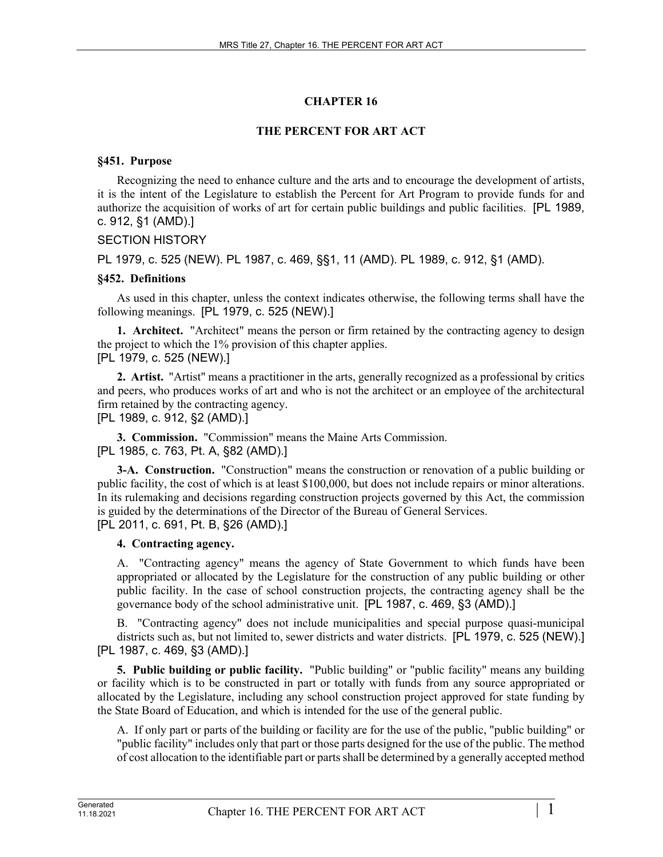# **CHAPTER 16**

# **THE PERCENT FOR ART ACT**

### **§451. Purpose**

Recognizing the need to enhance culture and the arts and to encourage the development of artists, it is the intent of the Legislature to establish the Percent for Art Program to provide funds for and authorize the acquisition of works of art for certain public buildings and public facilities. [PL 1989, c. 912, §1 (AMD).]

# SECTION HISTORY

PL 1979, c. 525 (NEW). PL 1987, c. 469, §§1, 11 (AMD). PL 1989, c. 912, §1 (AMD).

### **§452. Definitions**

As used in this chapter, unless the context indicates otherwise, the following terms shall have the following meanings. [PL 1979, c. 525 (NEW).]

**1. Architect.** "Architect" means the person or firm retained by the contracting agency to design the project to which the 1% provision of this chapter applies. [PL 1979, c. 525 (NEW).]

**2. Artist.** "Artist" means a practitioner in the arts, generally recognized as a professional by critics and peers, who produces works of art and who is not the architect or an employee of the architectural firm retained by the contracting agency.

[PL 1989, c. 912, §2 (AMD).]

**3. Commission.** "Commission" means the Maine Arts Commission.

[PL 1985, c. 763, Pt. A, §82 (AMD).]

**3-A. Construction.** "Construction" means the construction or renovation of a public building or public facility, the cost of which is at least \$100,000, but does not include repairs or minor alterations. In its rulemaking and decisions regarding construction projects governed by this Act, the commission is guided by the determinations of the Director of the Bureau of General Services. [PL 2011, c. 691, Pt. B, §26 (AMD).]

# **4. Contracting agency.**

A. "Contracting agency" means the agency of State Government to which funds have been appropriated or allocated by the Legislature for the construction of any public building or other public facility. In the case of school construction projects, the contracting agency shall be the governance body of the school administrative unit. [PL 1987, c. 469, §3 (AMD).]

B. "Contracting agency" does not include municipalities and special purpose quasi-municipal districts such as, but not limited to, sewer districts and water districts. [PL 1979, c. 525 (NEW).] [PL 1987, c. 469, §3 (AMD).]

**5. Public building or public facility.** "Public building" or "public facility" means any building or facility which is to be constructed in part or totally with funds from any source appropriated or allocated by the Legislature, including any school construction project approved for state funding by the State Board of Education, and which is intended for the use of the general public.

A. If only part or parts of the building or facility are for the use of the public, "public building" or "public facility" includes only that part or those parts designed for the use of the public. The method of cost allocation to the identifiable part or parts shall be determined by a generally accepted method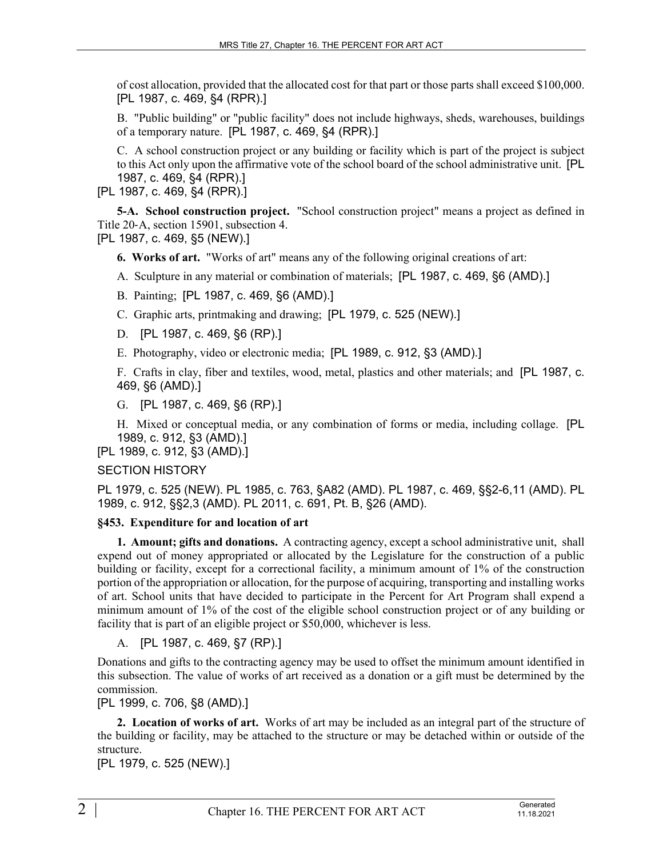of cost allocation, provided that the allocated cost for that part or those parts shall exceed \$100,000. [PL 1987, c. 469, §4 (RPR).]

B. "Public building" or "public facility" does not include highways, sheds, warehouses, buildings of a temporary nature. [PL 1987, c. 469, §4 (RPR).]

C. A school construction project or any building or facility which is part of the project is subject to this Act only upon the affirmative vote of the school board of the school administrative unit. [PL 1987, c. 469, §4 (RPR).]

[PL 1987, c. 469, §4 (RPR).]

**5-A. School construction project.** "School construction project" means a project as defined in Title 20‑A, section 15901, subsection 4. [PL 1987, c. 469, §5 (NEW).]

**6. Works of art.** "Works of art" means any of the following original creations of art:

A. Sculpture in any material or combination of materials; [PL 1987, c. 469, §6 (AMD).]

B. Painting; [PL 1987, c. 469, §6 (AMD).]

C. Graphic arts, printmaking and drawing; [PL 1979, c. 525 (NEW).]

D. [PL 1987, c. 469, §6 (RP).]

E. Photography, video or electronic media; [PL 1989, c. 912, §3 (AMD).]

F. Crafts in clay, fiber and textiles, wood, metal, plastics and other materials; and [PL 1987, c. 469, §6 (AMD).]

G. [PL 1987, c. 469, §6 (RP).]

H. Mixed or conceptual media, or any combination of forms or media, including collage. [PL 1989, c. 912, §3 (AMD).]

[PL 1989, c. 912, §3 (AMD).]

#### SECTION HISTORY

PL 1979, c. 525 (NEW). PL 1985, c. 763, §A82 (AMD). PL 1987, c. 469, §§2-6,11 (AMD). PL 1989, c. 912, §§2,3 (AMD). PL 2011, c. 691, Pt. B, §26 (AMD).

# **§453. Expenditure for and location of art**

**1. Amount; gifts and donations.** A contracting agency, except a school administrative unit, shall expend out of money appropriated or allocated by the Legislature for the construction of a public building or facility, except for a correctional facility, a minimum amount of 1% of the construction portion of the appropriation or allocation, for the purpose of acquiring, transporting and installing works of art. School units that have decided to participate in the Percent for Art Program shall expend a minimum amount of 1% of the cost of the eligible school construction project or of any building or facility that is part of an eligible project or \$50,000, whichever is less.

A. [PL 1987, c. 469, §7 (RP).]

Donations and gifts to the contracting agency may be used to offset the minimum amount identified in this subsection. The value of works of art received as a donation or a gift must be determined by the commission.

[PL 1999, c. 706, §8 (AMD).]

**2. Location of works of art.** Works of art may be included as an integral part of the structure of the building or facility, may be attached to the structure or may be detached within or outside of the structure.

[PL 1979, c. 525 (NEW).]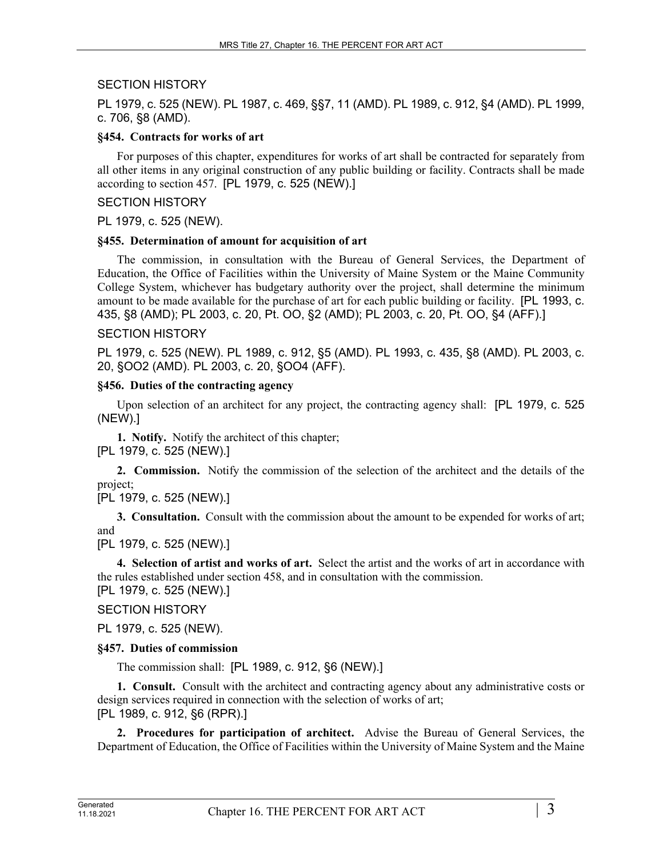### SECTION HISTORY

PL 1979, c. 525 (NEW). PL 1987, c. 469, §§7, 11 (AMD). PL 1989, c. 912, §4 (AMD). PL 1999, c. 706, §8 (AMD).

### **§454. Contracts for works of art**

For purposes of this chapter, expenditures for works of art shall be contracted for separately from all other items in any original construction of any public building or facility. Contracts shall be made according to section 457. [PL 1979, c. 525 (NEW).]

### SECTION HISTORY

PL 1979, c. 525 (NEW).

### **§455. Determination of amount for acquisition of art**

The commission, in consultation with the Bureau of General Services, the Department of Education, the Office of Facilities within the University of Maine System or the Maine Community College System, whichever has budgetary authority over the project, shall determine the minimum amount to be made available for the purchase of art for each public building or facility. [PL 1993, c. 435, §8 (AMD); PL 2003, c. 20, Pt. OO, §2 (AMD); PL 2003, c. 20, Pt. OO, §4 (AFF).]

### SECTION HISTORY

PL 1979, c. 525 (NEW). PL 1989, c. 912, §5 (AMD). PL 1993, c. 435, §8 (AMD). PL 2003, c. 20, §OO2 (AMD). PL 2003, c. 20, §OO4 (AFF).

### **§456. Duties of the contracting agency**

Upon selection of an architect for any project, the contracting agency shall: [PL 1979, c. 525 (NEW).]

**1. Notify.** Notify the architect of this chapter; [PL 1979, c. 525 (NEW).]

**2. Commission.** Notify the commission of the selection of the architect and the details of the project;

[PL 1979, c. 525 (NEW).]

**3. Consultation.** Consult with the commission about the amount to be expended for works of art; and

[PL 1979, c. 525 (NEW).]

**4. Selection of artist and works of art.** Select the artist and the works of art in accordance with the rules established under section 458, and in consultation with the commission. [PL 1979, c. 525 (NEW).]

SECTION HISTORY

PL 1979, c. 525 (NEW).

# **§457. Duties of commission**

The commission shall: [PL 1989, c. 912, §6 (NEW).]

**1. Consult.** Consult with the architect and contracting agency about any administrative costs or design services required in connection with the selection of works of art; [PL 1989, c. 912, §6 (RPR).]

**2. Procedures for participation of architect.** Advise the Bureau of General Services, the Department of Education, the Office of Facilities within the University of Maine System and the Maine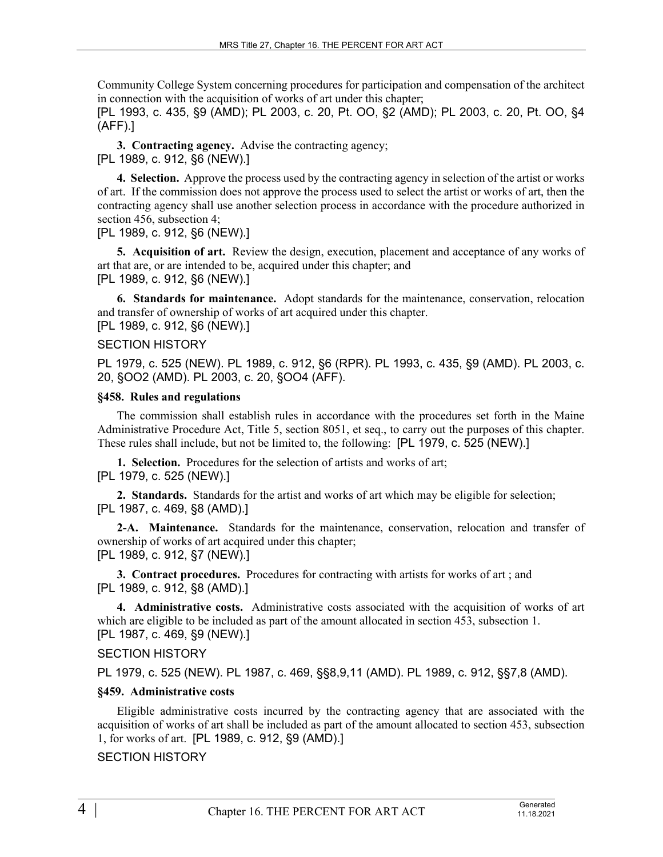Community College System concerning procedures for participation and compensation of the architect in connection with the acquisition of works of art under this chapter;

[PL 1993, c. 435, §9 (AMD); PL 2003, c. 20, Pt. OO, §2 (AMD); PL 2003, c. 20, Pt. OO, §4 (AFF).]

**3. Contracting agency.** Advise the contracting agency; [PL 1989, c. 912, §6 (NEW).]

**4. Selection.** Approve the process used by the contracting agency in selection of the artist or works of art. If the commission does not approve the process used to select the artist or works of art, then the contracting agency shall use another selection process in accordance with the procedure authorized in section 456, subsection 4;

[PL 1989, c. 912, §6 (NEW).]

**5. Acquisition of art.** Review the design, execution, placement and acceptance of any works of art that are, or are intended to be, acquired under this chapter; and [PL 1989, c. 912, §6 (NEW).]

**6. Standards for maintenance.** Adopt standards for the maintenance, conservation, relocation and transfer of ownership of works of art acquired under this chapter. [PL 1989, c. 912, §6 (NEW).]

### SECTION HISTORY

PL 1979, c. 525 (NEW). PL 1989, c. 912, §6 (RPR). PL 1993, c. 435, §9 (AMD). PL 2003, c. 20, §OO2 (AMD). PL 2003, c. 20, §OO4 (AFF).

#### **§458. Rules and regulations**

The commission shall establish rules in accordance with the procedures set forth in the Maine Administrative Procedure Act, Title 5, section 8051, et seq., to carry out the purposes of this chapter. These rules shall include, but not be limited to, the following: [PL 1979, c. 525 (NEW).]

**1. Selection.** Procedures for the selection of artists and works of art; [PL 1979, c. 525 (NEW).]

**2. Standards.** Standards for the artist and works of art which may be eligible for selection; [PL 1987, c. 469, §8 (AMD).]

**2-A. Maintenance.** Standards for the maintenance, conservation, relocation and transfer of ownership of works of art acquired under this chapter; [PL 1989, c. 912, §7 (NEW).]

**3. Contract procedures.** Procedures for contracting with artists for works of art ; and [PL 1989, c. 912, §8 (AMD).]

**4. Administrative costs.** Administrative costs associated with the acquisition of works of art which are eligible to be included as part of the amount allocated in section 453, subsection 1. [PL 1987, c. 469, §9 (NEW).]

# SECTION HISTORY

PL 1979, c. 525 (NEW). PL 1987, c. 469, §§8,9,11 (AMD). PL 1989, c. 912, §§7,8 (AMD).

#### **§459. Administrative costs**

Eligible administrative costs incurred by the contracting agency that are associated with the acquisition of works of art shall be included as part of the amount allocated to section 453, subsection 1, for works of art. [PL 1989, c. 912, §9 (AMD).]

# SECTION HISTORY